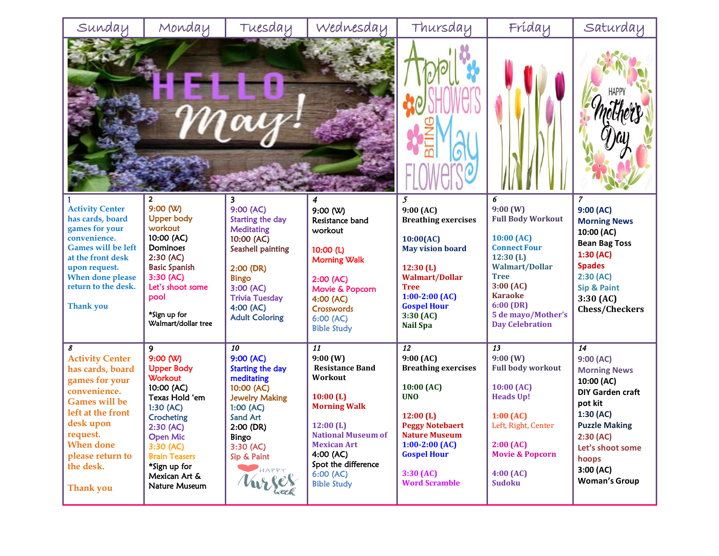| Sunday                                                                                                                                                                                                                    | Monday                                                                                                                                                                                                                                     | Tuesday                                                                                                                                                                                                                | Wednesday                                                                                                                                                                                                                 | Thursday                                                                                                                                                                                                                          | Fríday                                                                                                                                                                                                                     | Saturday                                                                                                                                                                                                                |
|---------------------------------------------------------------------------------------------------------------------------------------------------------------------------------------------------------------------------|--------------------------------------------------------------------------------------------------------------------------------------------------------------------------------------------------------------------------------------------|------------------------------------------------------------------------------------------------------------------------------------------------------------------------------------------------------------------------|---------------------------------------------------------------------------------------------------------------------------------------------------------------------------------------------------------------------------|-----------------------------------------------------------------------------------------------------------------------------------------------------------------------------------------------------------------------------------|----------------------------------------------------------------------------------------------------------------------------------------------------------------------------------------------------------------------------|-------------------------------------------------------------------------------------------------------------------------------------------------------------------------------------------------------------------------|
|                                                                                                                                                                                                                           |                                                                                                                                                                                                                                            |                                                                                                                                                                                                                        |                                                                                                                                                                                                                           |                                                                                                                                                                                                                                   |                                                                                                                                                                                                                            |                                                                                                                                                                                                                         |
| <b>Activity Center</b><br>has cards, board<br>games for your<br>convenience.<br><b>Games will be left</b><br>at the front desk<br>upon request.<br>When done please<br>return to the desk.<br>Thank you                   | 2<br>9:00(N)<br><b>Upper body</b><br>workout<br>10:00 (AC)<br>Dominoes<br>2:30(AC)<br><b>Basic Spanish</b><br>3:30 (AC)<br>Let's shoot some<br>pool<br>*Sign up for<br>Walmart/dollar tree                                                 | 9:00 (AC)<br>Starting the day<br><b>Meditating</b><br>10:00 (AC)<br>Seashell painting<br>$2:00$ (DR)<br><b>Bingo</b><br>3:00 (AC)<br><b>Trivia Tuesday</b><br>4:00 (AC)<br><b>Adult Coloring</b>                       | 9:00(N)<br>Resistance band<br>workout<br>10:00(L)<br><b>Morning Walk</b><br>2:00(AC)<br>Movie & Popcorn<br>4:00 (AC)<br>Crosswords<br>6:00(AC)<br><b>Bible Study</b>                                                      | 5<br>9:00(AC)<br><b>Breathing exercises</b><br>10:00(AC)<br><b>May vision board</b><br>12:30(L)<br><b>Walmart/Dollar</b><br><b>Tree</b><br>$1:00-2:00$ (AC)<br><b>Gospel Hour</b><br>3:30(AC)<br><b>Nail Spa</b>                  | 6<br>9:00(W)<br><b>Full Body Workout</b><br>10:00(AC)<br><b>Connect Four</b><br>12:30(L)<br><b>Walmart/Dollar</b><br><b>Tree</b><br>3:00(AC)<br><b>Karaoke</b><br>6:00(DR)<br>5 de mayo/Mother's<br><b>Day Celebration</b> | 7<br>9:00(AC)<br><b>Morning News</b><br>10:00 (AC)<br><b>Bean Bag Toss</b><br>1:30(AC)<br><b>Spades</b><br>2:30(AC)<br><b>Sip &amp; Paint</b><br>3:30(AC)<br><b>Chess/Checkers</b>                                      |
| 8<br><b>Activity Center</b><br>has cards, board<br>games for your<br>convenience.<br><b>Games will be</b><br>left at the front<br>desk upon<br>request.<br><b>When done</b><br>please return to<br>the desk.<br>Thank you | 9<br>9:00(N)<br><b>Upper Body</b><br><b>Workout</b><br>10:00 (AC)<br>Texas Hold 'em<br>1:30(AC)<br><b>Crocheting</b><br>2:30(AC)<br><b>Open Mic</b><br>3:30 (AC)<br><b>Brain Teasers</b><br>*Sign up for<br>Mexican Art &<br>Nature Museum | $\overline{10}$<br>9:00 (AC)<br><b>Starting the day</b><br>meditating<br>10:00 (AC)<br><b>Jewelry Making</b><br>1:00(AC)<br>Sand Art<br>$2:00$ (DR)<br>Bingo<br>3:30 (AC)<br>Sip & Paint<br>HAPPY<br>$\mathcal{U}_{W}$ | 11<br>9:00(W)<br><b>Resistance Band</b><br>Workout<br>10:00(L)<br><b>Morning Walk</b><br>12:00(L)<br><b>National Museum of</b><br><b>Mexican Art</b><br>4:00(AC)<br>Spot the difference<br>6:00(AC)<br><b>Bible Study</b> | $\overline{12}$<br>9:00(AC)<br><b>Breathing exercises</b><br>10:00 (AC)<br><b>UNO</b><br>12:00(L)<br><b>Peggy Notebaert</b><br><b>Nature Museum</b><br>$1:00-2:00$ (AC)<br><b>Gospel Hour</b><br>3:30(AC)<br><b>Word Scramble</b> | $\overline{13}$<br>9:00(W)<br><b>Full body workout</b><br>10:00(AC)<br><b>Heads Up!</b><br>$1:00$ (AC)<br>Left, Right, Center<br>2:00(AC)<br><b>Movie &amp; Popcorn</b><br>4:00(AC)<br><b>Sudoku</b>                       | $\overline{14}$<br>9:00(AC)<br><b>Morning News</b><br>10:00 (AC)<br><b>DIY Garden craft</b><br>pot kit<br>1:30(AC)<br><b>Puzzle Making</b><br>2:30(AC)<br>Let's shoot some<br>hoops<br>3:00(AC)<br><b>Woman's Group</b> |